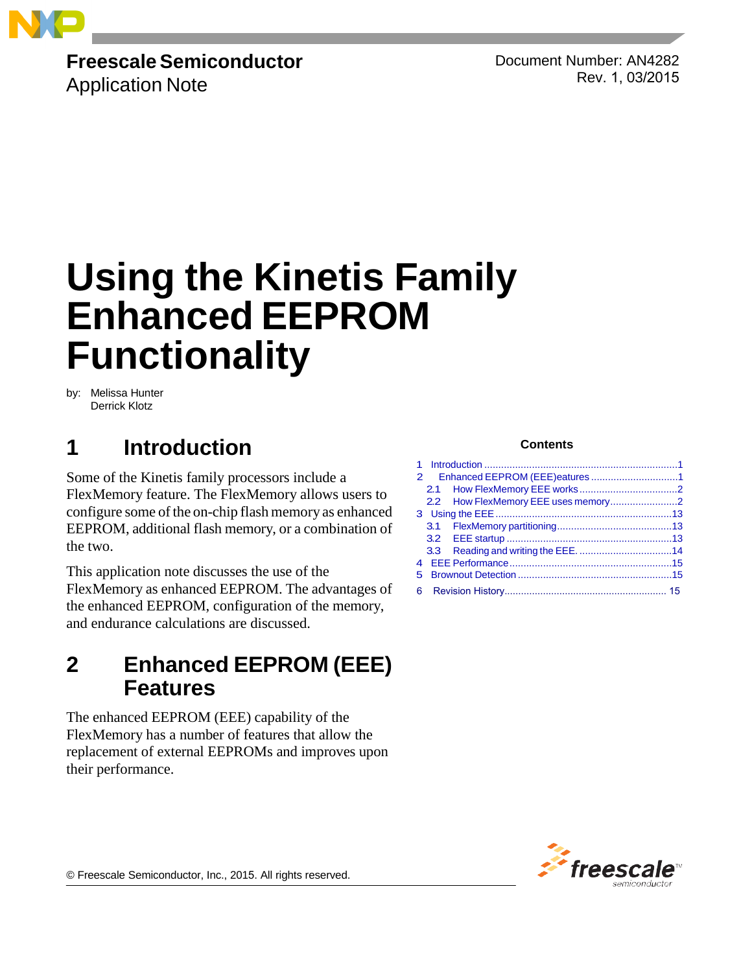

# **Freescale Semiconductor**

Application Note

Document Number: AN4282 Rev. 1, 03/2015

# **Using the Kinetis Family Enhanced EEPROM Functionality**

by: Melissa Hunter Derrick Klotz

# <span id="page-0-0"></span>**1 Introduction**

Some of the Kinetis family processors include a FlexMemory feature. The FlexMemory allows users to configure some of the on-chip flash memory as enhanced EEPROM, additional flash memory, or a combination of the two.

This application note discusses the use of the FlexMemory as enhanced EEPROM. The advantages of the enhanced EEPROM, configuration of the memory, and endurance calculations are discussed.

## <span id="page-0-1"></span>**2 Enhanced EEPROM (EEE) Features**

The enhanced EEPROM (EEE) capability of the FlexMemory has a number of features that allow the replacement of external EEPROMs and improves upon their performance.

### **Contents**

| 1 |         |  |  |  |
|---|---------|--|--|--|
|   |         |  |  |  |
|   | $2.1 -$ |  |  |  |
|   |         |  |  |  |
|   |         |  |  |  |
|   |         |  |  |  |
|   |         |  |  |  |
|   | 3.3     |  |  |  |
|   |         |  |  |  |
| 5 |         |  |  |  |
| 6 |         |  |  |  |



© Freescale Semiconductor, Inc., 2015. All rights reserved.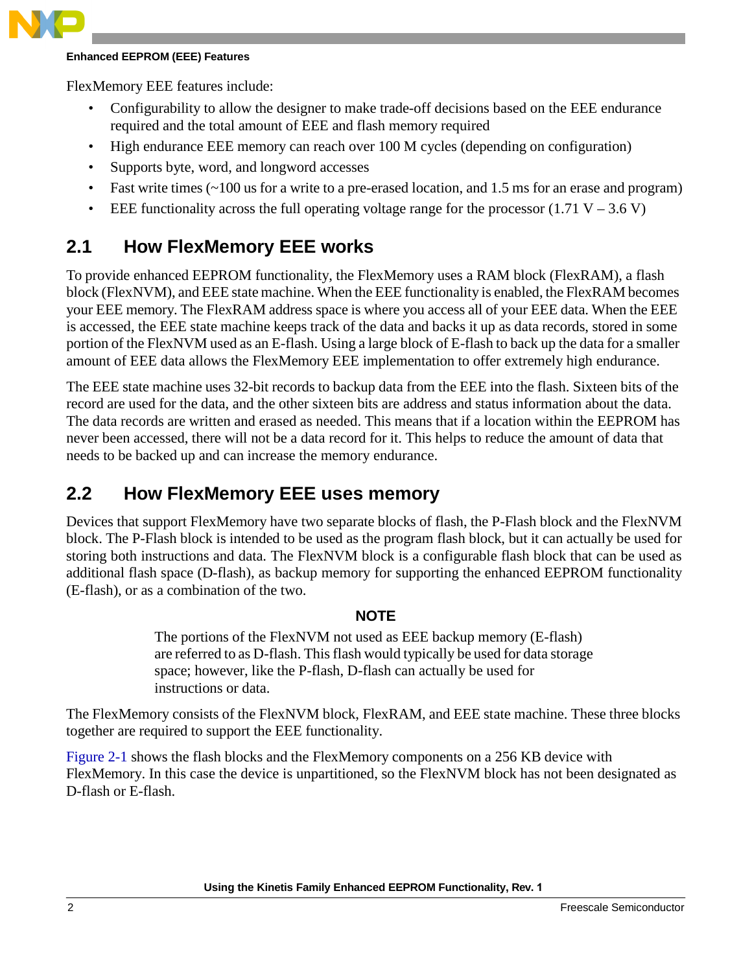

FlexMemory EEE features include:

- Configurability to allow the designer to make trade-off decisions based on the EEE endurance required and the total amount of EEE and flash memory required
- High endurance EEE memory can reach over 100 M cycles (depending on configuration)
- Supports byte, word, and longword accesses
- Fast write times  $(\sim 100 \text{ us for a write to a pre-erased location, and } 1.5 \text{ ms for an erase and program})$
- EEE functionality across the full operating voltage range for the processor  $(1.71 \text{ V} 3.6 \text{ V})$

## <span id="page-1-0"></span>**2.1 How FlexMemory EEE works**

To provide enhanced EEPROM functionality, the FlexMemory uses a RAM block (FlexRAM), a flash block (FlexNVM), and EEE state machine. When the EEE functionality is enabled, the FlexRAM becomes your EEE memory. The FlexRAM address space is where you access all of your EEE data. When the EEE is accessed, the EEE state machine keeps track of the data and backs it up as data records, stored in some portion of the FlexNVM used as an E-flash. Using a large block of E-flash to back up the data for a smaller amount of EEE data allows the FlexMemory EEE implementation to offer extremely high endurance.

The EEE state machine uses 32-bit records to backup data from the EEE into the flash. Sixteen bits of the record are used for the data, and the other sixteen bits are address and status information about the data. The data records are written and erased as needed. This means that if a location within the EEPROM has never been accessed, there will not be a data record for it. This helps to reduce the amount of data that needs to be backed up and can increase the memory endurance.

## <span id="page-1-1"></span>**2.2 How FlexMemory EEE uses memory**

Devices that support FlexMemory have two separate blocks of flash, the P-Flash block and the FlexNVM block. The P-Flash block is intended to be used as the program flash block, but it can actually be used for storing both instructions and data. The FlexNVM block is a configurable flash block that can be used as additional flash space (D-flash), as backup memory for supporting the enhanced EEPROM functionality (E-flash), or as a combination of the two.

## **NOTE**

The portions of the FlexNVM not used as EEE backup memory (E-flash) are referred to as D-flash. This flash would typically be used for data storage space; however, like the P-flash, D-flash can actually be used for instructions or data.

The FlexMemory consists of the FlexNVM block, FlexRAM, and EEE state machine. These three blocks together are required to support the EEE functionality.

[Figure 2-1](#page-2-0) shows the flash blocks and the FlexMemory components on a 256 KB device with FlexMemory. In this case the device is unpartitioned, so the FlexNVM block has not been designated as D-flash or E-flash.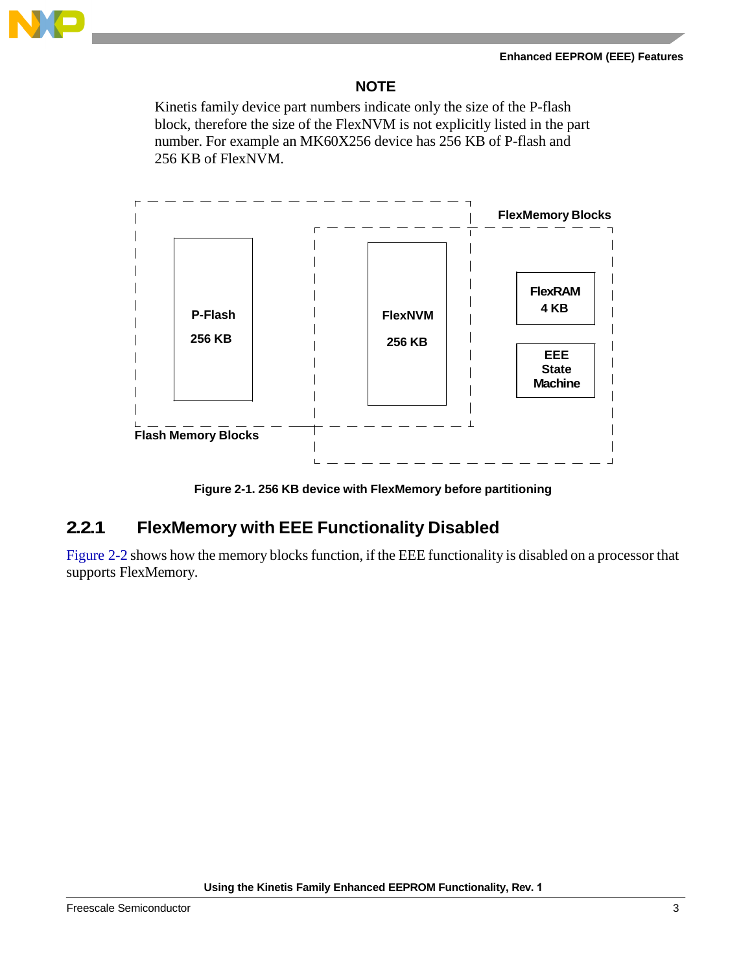

## **NOTE**

Kinetis family device part numbers indicate only the size of the P-flash block, therefore the size of the FlexNVM is not explicitly listed in the part number. For example an MK60X256 device has 256 KB of P-flash and 256 KB of FlexNVM.



**Figure 2-1. 256 KB device with FlexMemory before partitioning**

## <span id="page-2-0"></span>**2.2.1 FlexMemory with EEE Functionality Disabled**

[Figure 2-2](#page-3-0) shows how the memory blocks function, if the EEE functionality is disabled on a processor that supports FlexMemory.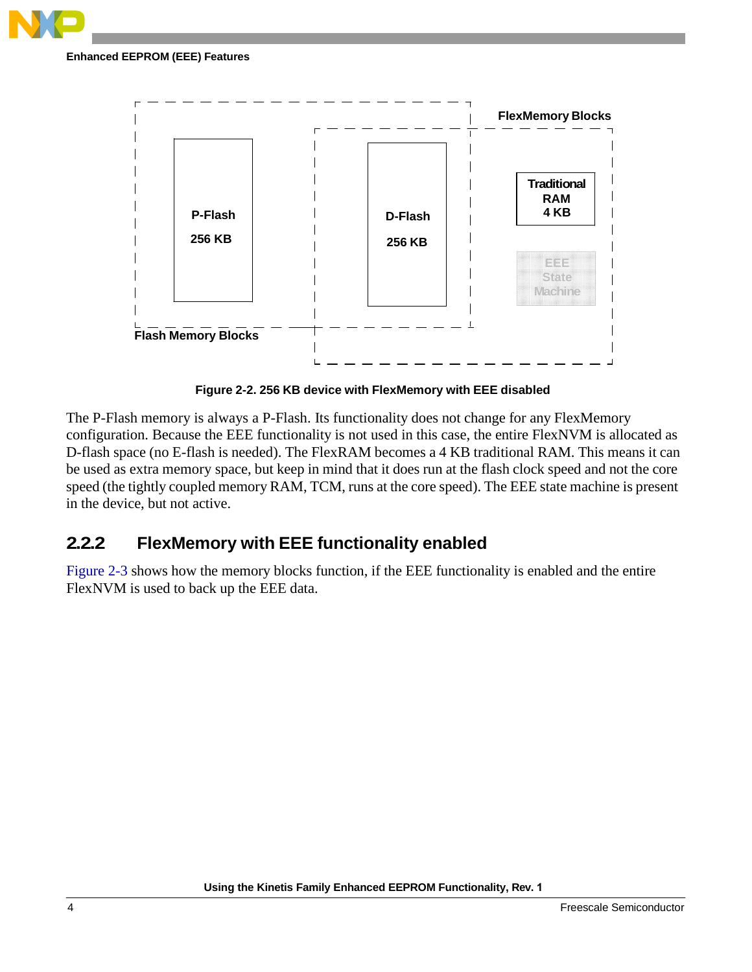



**Figure 2-2. 256 KB device with FlexMemory with EEE disabled**

<span id="page-3-0"></span>The P-Flash memory is always a P-Flash. Its functionality does not change for any FlexMemory configuration. Because the EEE functionality is not used in this case, the entire FlexNVM is allocated as D-flash space (no E-flash is needed). The FlexRAM becomes a 4 KB traditional RAM. This means it can be used as extra memory space, but keep in mind that it does run at the flash clock speed and not the core speed (the tightly coupled memory RAM, TCM, runs at the core speed). The EEE state machine is present in the device, but not active.

## **2.2.2 FlexMemory with EEE functionality enabled**

[Figure 2-3](#page-4-0) shows how the memory blocks function, if the EEE functionality is enabled and the entire FlexNVM is used to back up the EEE data.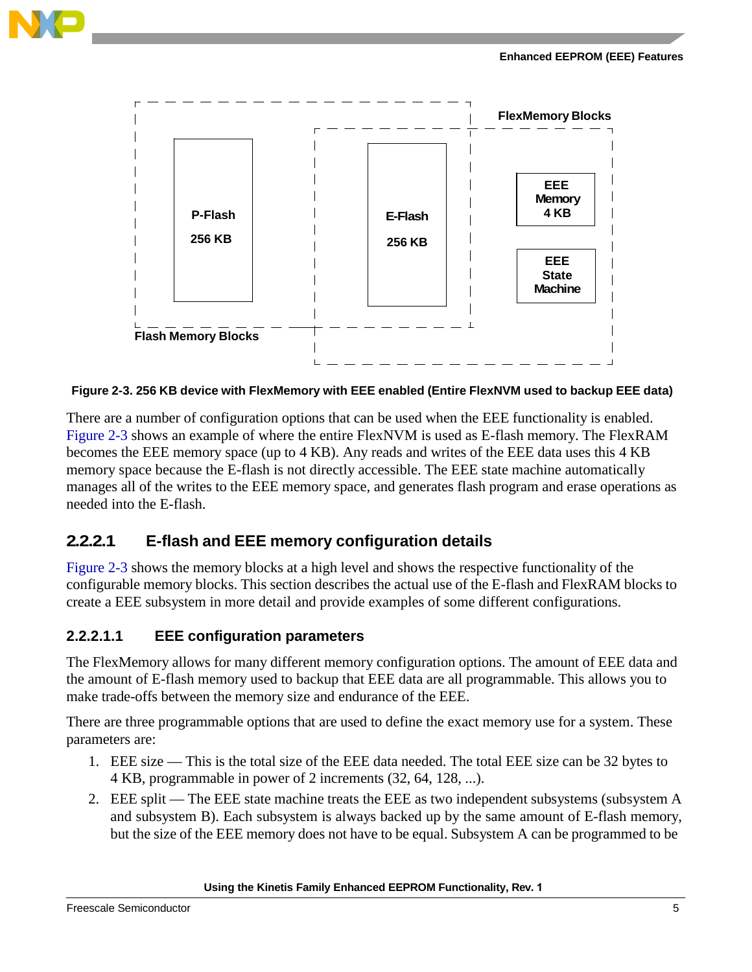

<span id="page-4-0"></span>**Figure 2-3. 256 KB device with FlexMemory with EEE enabled (Entire FlexNVM used to backup EEE data)**

There are a number of configuration options that can be used when the EEE functionality is enabled. [Figure 2-3](#page-4-0) shows an example of where the entire FlexNVM is used as E-flash memory. The FlexRAM becomes the EEE memory space (up to 4 KB). Any reads and writes of the EEE data uses this 4 KB memory space because the E-flash is not directly accessible. The EEE state machine automatically manages all of the writes to the EEE memory space, and generates flash program and erase operations as needed into the E-flash.

## **2.2.2.1 E-flash and EEE memory configuration details**

[Figure 2-3](#page-4-0) shows the memory blocks at a high level and shows the respective functionality of the configurable memory blocks. This section describes the actual use of the E-flash and FlexRAM blocks to create a EEE subsystem in more detail and provide examples of some different configurations.

## <span id="page-4-1"></span>**2.2.2.1.1 EEE configuration parameters**

The FlexMemory allows for many different memory configuration options. The amount of EEE data and the amount of E-flash memory used to backup that EEE data are all programmable. This allows you to make trade-offs between the memory size and endurance of the EEE.

There are three programmable options that are used to define the exact memory use for a system. These parameters are:

- 1. EEE size This is the total size of the EEE data needed. The total EEE size can be 32 bytes to 4 KB, programmable in power of 2 increments (32, 64, 128, ...).
- 2. EEE split The EEE state machine treats the EEE as two independent subsystems (subsystem A and subsystem B). Each subsystem is always backed up by the same amount of E-flash memory, but the size of the EEE memory does not have to be equal. Subsystem A can be programmed to be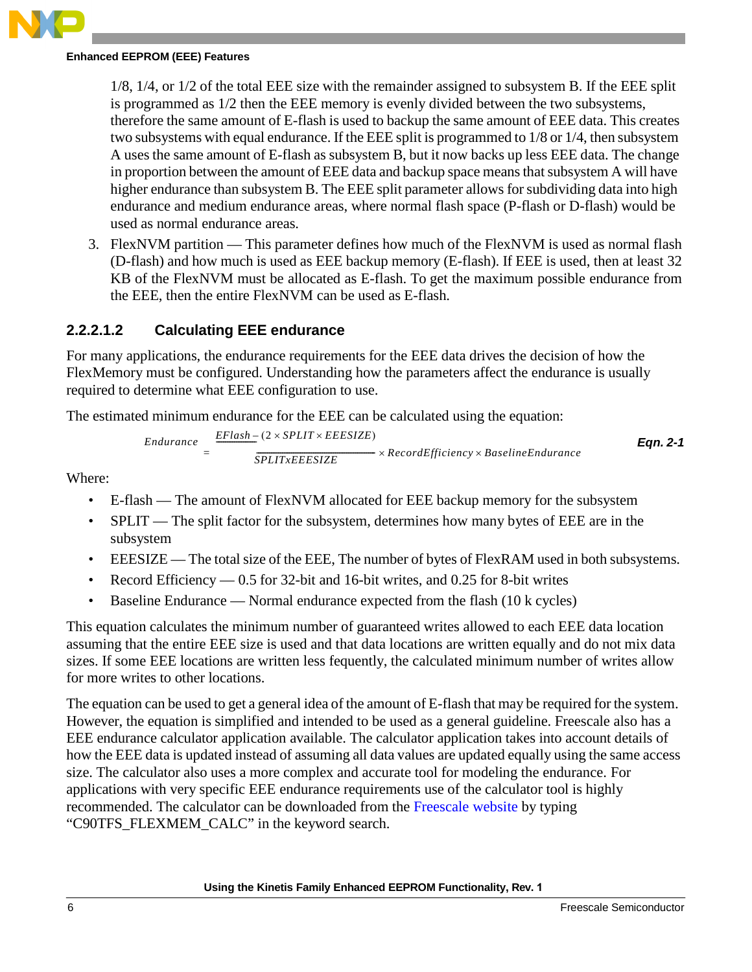1/8, 1/4, or 1/2 of the total EEE size with the remainder assigned to subsystem B. If the EEE split is programmed as 1/2 then the EEE memory is evenly divided between the two subsystems, therefore the same amount of E-flash is used to backup the same amount of EEE data. This creates two subsystems with equal endurance. If the EEE split is programmed to 1/8 or 1/4, then subsystem A uses the same amount of E-flash as subsystem B, but it now backs up less EEE data. The change in proportion between the amount of EEE data and backup space meansthatsubsystem A will have higher endurance than subsystem B. The EEE split parameter allows for subdividing data into high endurance and medium endurance areas, where normal flash space (P-flash or D-flash) would be used as normal endurance areas.

3. FlexNVM partition — This parameter defines how much of the FlexNVM is used as normal flash (D-flash) and how much is used as EEE backup memory (E-flash). If EEE is used, then at least 32 KB of the FlexNVM must be allocated as E-flash. To get the maximum possible endurance from the EEE, then the entire FlexNVM can be used as E-flash.

### <span id="page-5-1"></span>**2.2.2.1.2 Calculating EEE endurance**

For many applications, the endurance requirements for the EEE data drives the decision of how the FlexMemory must be configured. Understanding how the parameters affect the endurance is usually required to determine what EEE configuration to use.

<span id="page-5-0"></span>The estimated minimum endurance for the EEE can be calculated using the equation:

*Endurance <sup>E</sup> EF*lash – (2 × *SPLIT* × *EEESIZE*) *Eqn. 2-1*  $\overline{SPLITxEESIZE}$  ×  $\overline{RecordEfficiency}$  ×  $BaselineEndurance$ 

Where:

- E-flash The amount of FlexNVM allocated for EEE backup memory for the subsystem
- SPLIT The split factor for the subsystem, determines how many bytes of EEE are in the subsystem
- EEESIZE The total size of the EEE, The number of bytes of FlexRAM used in both subsystems.
- Record Efficiency 0.5 for 32-bit and 16-bit writes, and 0.25 for 8-bit writes
- Baseline Endurance Normal endurance expected from the flash (10 k cycles)

This equation calculates the minimum number of guaranteed writes allowed to each EEE data location assuming that the entire EEE size is used and that data locations are written equally and do not mix data sizes. If some EEE locations are written less fequently, the calculated minimum number of writes allow for more writes to other locations.

[The equation can be used](http://www.freescale.com/) to get a general idea of the amount of E-flash that may be required for the system. However, [the equation is simplified and intended to be used as a general guideline. Freescale](http://www.freescale.com/) also has a [EEE endurance calculator application available. The calculator application takes into account details of](http://www.freescale.com/) how the EEE data is updated instead of assuming all data values [are updated equally using the same](http://www.freescale.com/) access size. The calculator also uses a more complex [and accurate tool for modeling the endurance. For](http://www.freescale.com/)  [applications with very specific EEE endurance requirements use](http://www.freescale.com/) of the calculator tool is highly [recommended. The calculator](http://www.freescale.com/) can be downloaded from the Freescale website by typing "C90TFS\_FLEXMEM\_CALC" in the keyword search.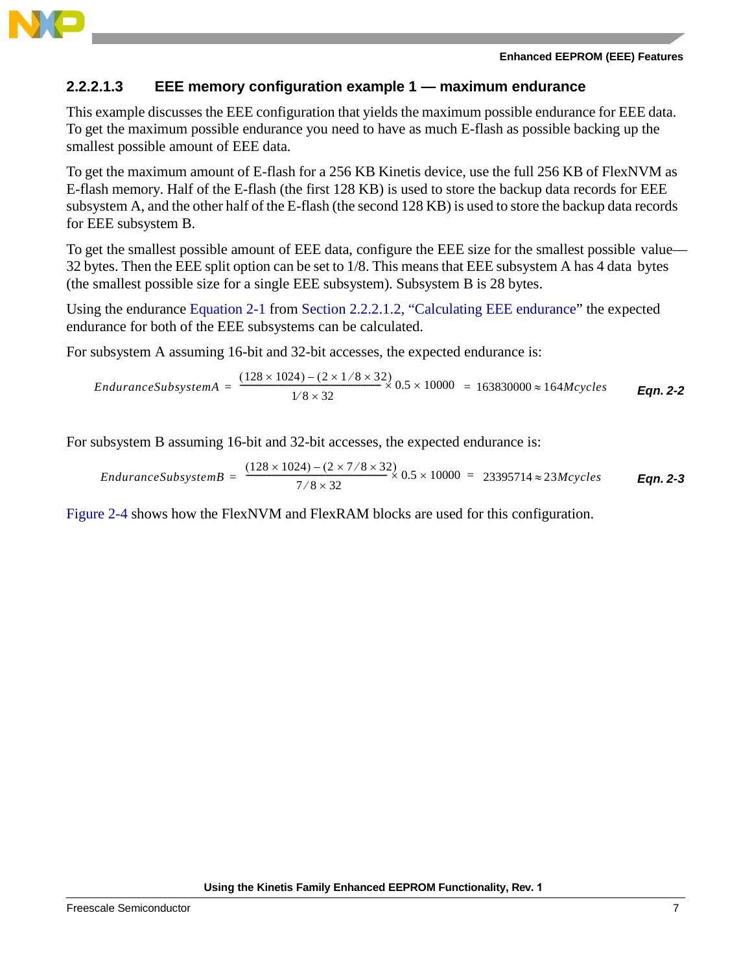

## **2.2.2.1.3 EEE memory configuration example 1 — maximum endurance**

This example discusses the EEE configuration that yields the maximum possible endurance for EEE data. To get the maximum possible endurance you need to have as much E-flash as possible backing up the smallest possible amount of EEE data.

To get the maximum amount of E-flash for a 256 KB Kinetis device, use the full 256 KB of FlexNVM as E-flash memory. Half of the E-flash (the first 128 KB) is used to store the backup data records for EEE subsystem A, and the other half of the E-flash (the second 128 KB) is used to store the backup data records for EEE subsystem B.

To get the smallest possible amount of EEE data, configure the EEE size for the smallest possible value— 32 bytes. Then the EEE split option can be set to 1/8. This meansthat EEE subsystem A has 4 data bytes (the smallest possible size for a single EEE subsystem). Subsystem B is 28 bytes.

Using the endurance [Equation 2-1](#page-5-0) from [Section 2.2.2.1.2, "Calculating EEE endurance"](#page-5-1) the expected endurance for both of the EEE subsystems can be calculated.

For subsystem A assuming 16-bit and 32-bit accesses, the expected endurance is:

 $EnduranceSubsystemA = \frac{(128 \times 1024) - (2 \times 1/8 \times 32)}{1/8 \times 32}$   $0.5 \times 10000 = 163830000 \approx 164 M cycles$  **Eqn. 2-2** 

For subsystem B assuming 16-bit and 32-bit accesses, the expected endurance is:

$$
EnduranceSubsystemB = \frac{(128 \times 1024) - (2 \times 7/8 \times 32)}{7/8 \times 32} \times 0.5 \times 10000 = 23395714 \approx 23 \text{Mcycles}
$$
Eqn. 2-3

[Figure 2-4](#page-7-0) shows how the FlexNVM and FlexRAM blocks are used for this configuration.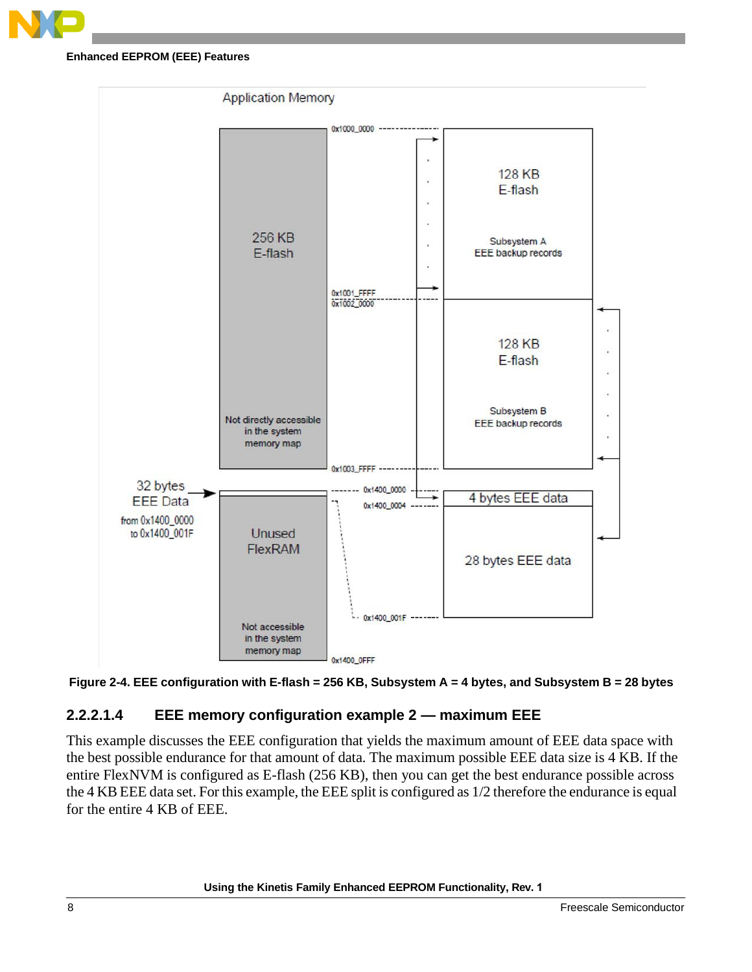



<span id="page-7-0"></span>

## <span id="page-7-1"></span>**2.2.2.1.4 EEE memory configuration example 2 — maximum EEE**

This example discusses the EEE configuration that yields the maximum amount of EEE data space with the best possible endurance for that amount of data. The maximum possible EEE data size is 4 KB. If the entire FlexNVM is configured as E-flash (256 KB), then you can get the best endurance possible across the 4 KB EEE data set. For this example, the EEE split is configured as 1/2 therefore the endurance is equal for the entire 4 KB of EEE.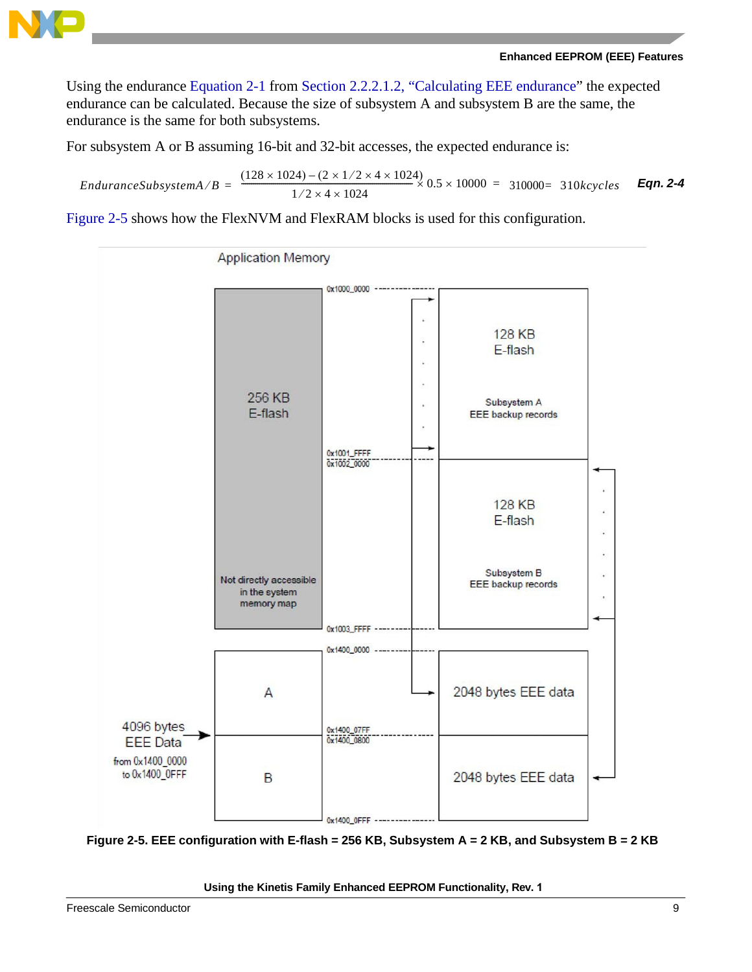

Using the endurance [Equation 2-1](#page-5-0) from [Section 2.2.2.1.2, "Calculating EEE endurance"](#page-5-1) the expected endurance can be calculated. Because the size of subsystem A and subsystem B are the same, the endurance is the same for both subsystems.

For subsystem A or B assuming 16-bit and 32-bit accesses, the expected endurance is:

EnduranceSubsystemA/B =  $\frac{(128 \times 1024) - (2 \times 1/2 \times 4 \times 1024)}{1/2 \times 4 \times 1024} \times 0.5 \times 10000 = 310000 = 310 \text{kcycles}$  Eqn. 2-4

[Figure 2-5](#page-8-0) shows how the FlexNVM and FlexRAM blocks is used for this configuration.



<span id="page-8-0"></span>**Figure 2-5. EEE configuration with E-flash = 256 KB, Subsystem A = 2 KB, and Subsystem B = 2 KB**

**Using the Kinetis Family Enhanced EEPROM Functionality, Rev. 1**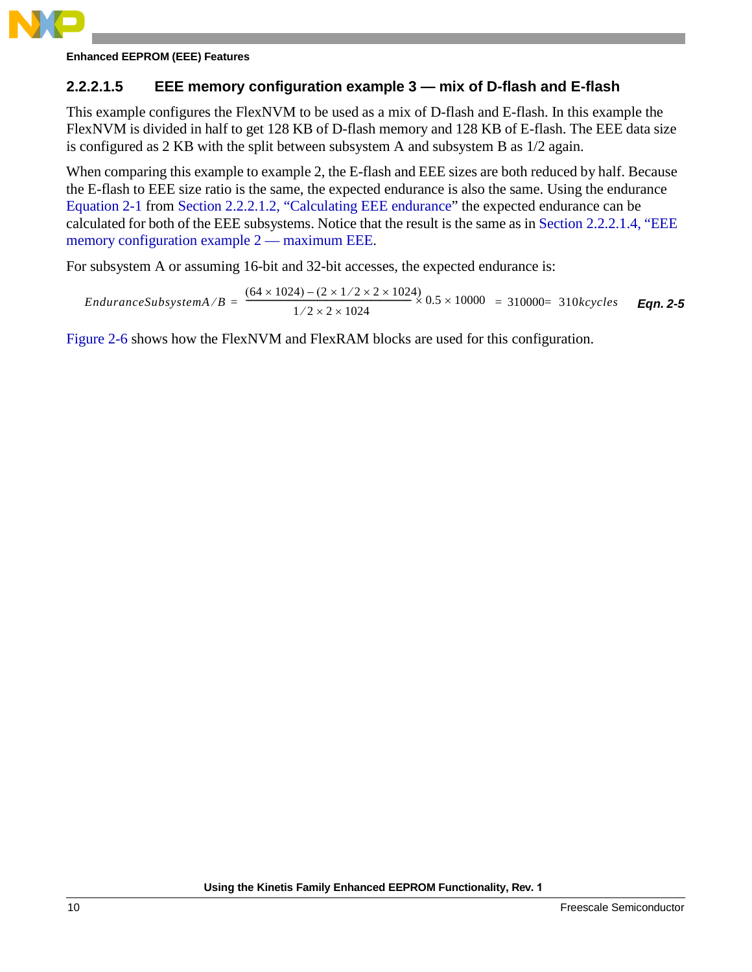

## **2.2.2.1.5 EEE memory configuration example 3 — mix of D-flash and E-flash**

This example configures the FlexNVM to be used as a mix of D-flash and E-flash. In this example the FlexNVM is divided in half to get 128 KB of D-flash memory and 128 KB of E-flash. The EEE data size is configured as 2 KB with the split between subsystem A and subsystem B as 1/2 again.

When comparing this example to example 2, the E-flash and EEE sizes are both reduced by half. Because the E-flash to EEE size ratio is the same, the expected endurance is also the same. Using the endurance [Equation 2-1](#page-5-0) from [Section 2.2.2.1.2, "Calculating EEE endurance"](#page-5-1) the expected endurance can be calculated for both of the EEE subsystems. Notice that the result is the same as in [Section 2.2.2.1.4, "EEE](#page-7-1) [memory configuration example 2 — maximum EEE.](#page-7-1)

For subsystem A or assuming 16-bit and 32-bit accesses, the expected endurance is:

$$
EnduranceSubsystemA/B = \frac{(64 \times 1024) - (2 \times 1/2 \times 2 \times 1024)}{1/2 \times 2 \times 1024} \times 0.5 \times 10000 = 310000 = 310 \text{kcycles}
$$
 **Eqn. 2-5**

[Figure 2-6](#page-10-0) shows how the FlexNVM and FlexRAM blocks are used for this configuration.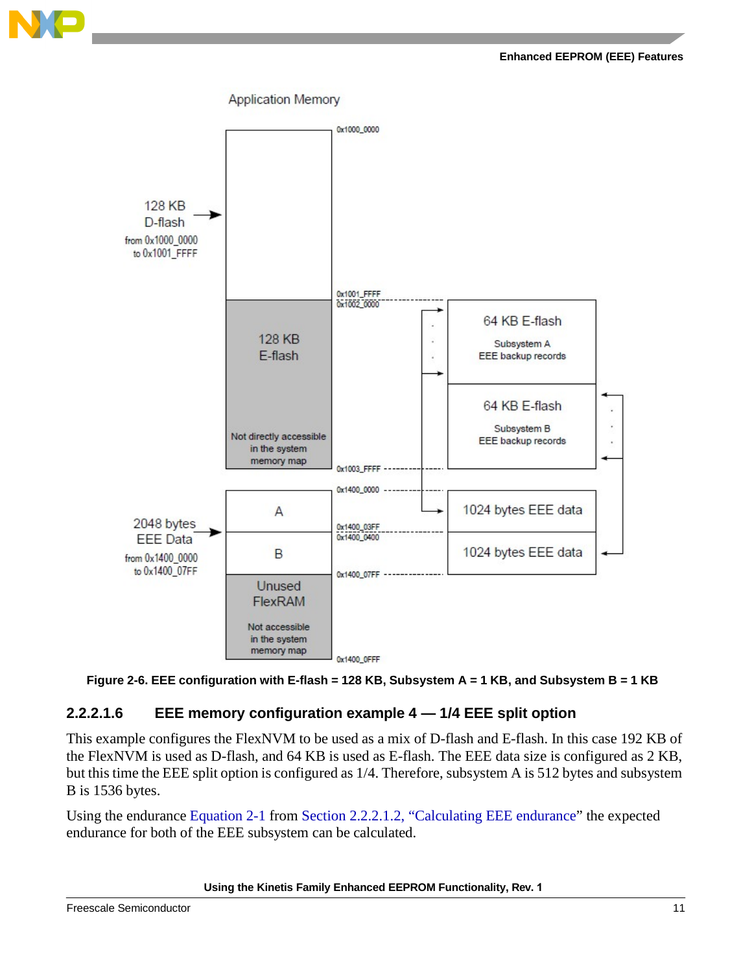



<span id="page-10-0"></span>**Figure 2-6. EEE configuration with E-flash = 128 KB, Subsystem A = 1 KB, and Subsystem B = 1 KB**

## **2.2.2.1.6 EEE memory configuration example 4 — 1/4 EEE split option**

This example configures the FlexNVM to be used as a mix of D-flash and E-flash. In this case 192 KB of the FlexNVM is used as D-flash, and 64 KB is used as E-flash. The EEE data size is configured as 2 KB, but this time the EEE split option is configured as 1/4. Therefore, subsystem A is 512 bytes and subsystem B is 1536 bytes.

Using the endurance [Equation 2-1](#page-5-0) from [Section 2.2.2.1.2, "Calculating EEE endurance"](#page-5-1) the expected endurance for both of the EEE subsystem can be calculated.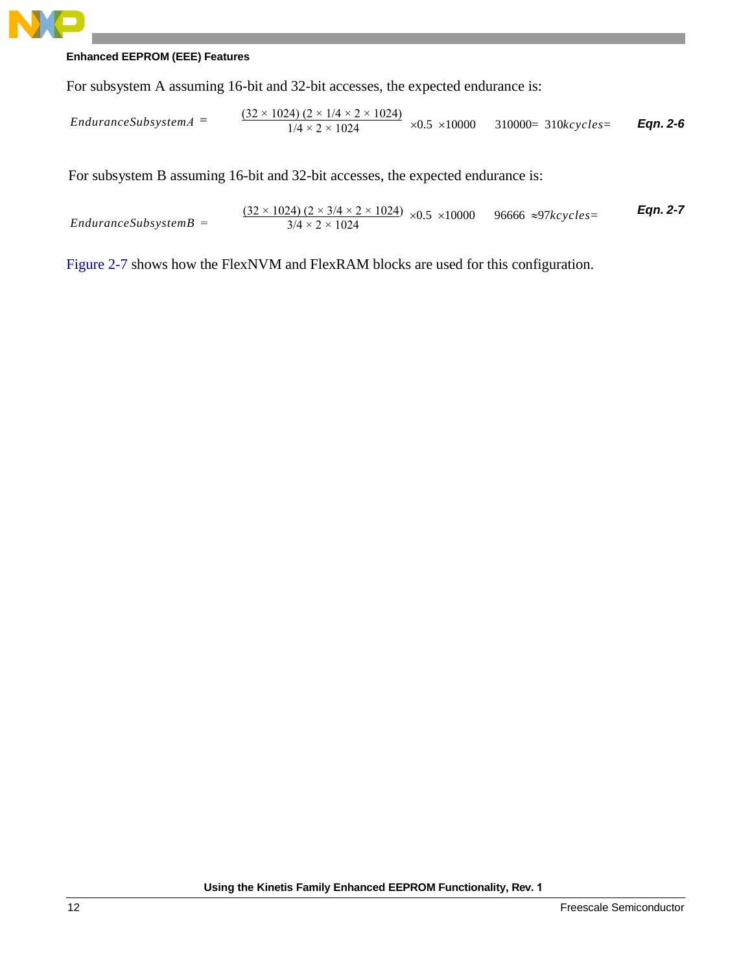

For subsystem A assuming 16-bit and 32-bit accesses, the expected endurance is:

$$
EnduranceSubsystemA = \frac{(32 \times 1024) (2 \times 1/4 \times 2 \times 1024)}{1/4 \times 2 \times 1024} \times 0.5 \times 10000 = 310 \times 10000 = 310 \times 10000 = 510 \times 10000
$$

For subsystem B assuming 16-bit and 32-bit accesses, the expected endurance is:

*Eqn. 2-7 EnduranceSubsystemB =* ×0.5 ×10000 96666 ≈97*kcycles*=  $(32 \times 1024) (2 \times 3/4 \times 2 \times 1024)$  $3/4 \times 2 \times 1024$ 

[Figure 2-7](#page-12-2) shows how the FlexNVM and FlexRAM blocks are used for this configuration.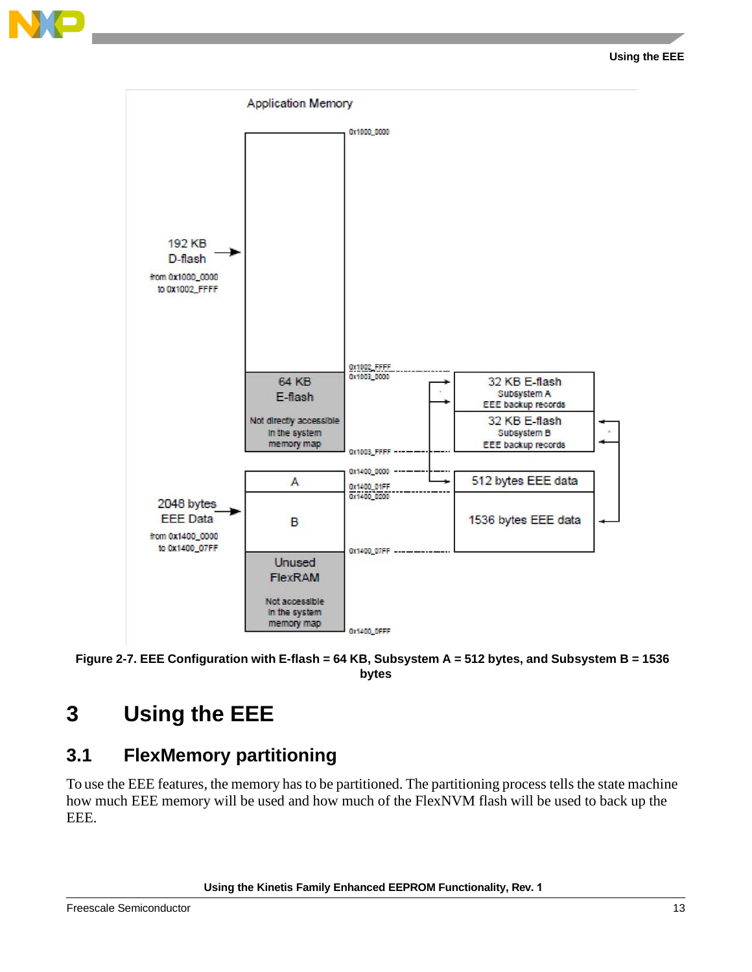



<span id="page-12-2"></span>**Figure 2-7. EEE Configuration with E-flash = 64 KB, Subsystem A = 512 bytes, and Subsystem B = 1536 bytes**

# <span id="page-12-0"></span>**3 Using the EEE**

## <span id="page-12-1"></span>**3.1 FlexMemory partitioning**

To use the EEE features, the memory has to be partitioned. The partitioning process tells the state machine how much EEE memory will be used and how much of the FlexNVM flash will be used to back up the EEE.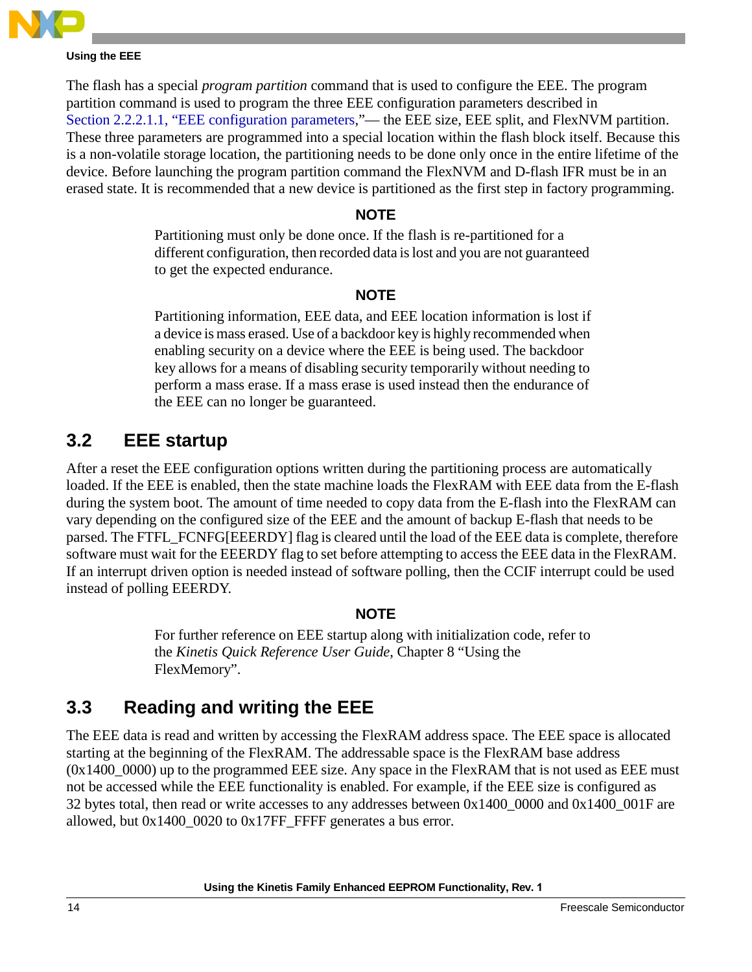

### **Using the EEE**

The flash has a special *program partition* command that is used to configure the EEE. The program partition command is used to program the three EEE configuration parameters described in [Section 2.2.2.1.1, "EEE configuration parameters,](#page-4-1)"— the EEE size, EEE split, and FlexNVM partition. These three parameters are programmed into a special location within the flash block itself. Because this is a non-volatile storage location, the partitioning needs to be done only once in the entire lifetime of the device. Before launching the program partition command the FlexNVM and D-flash IFR must be in an erased state. It is recommended that a new device is partitioned as the first step in factory programming.

## **NOTE**

Partitioning must only be done once. If the flash is re-partitioned for a different configuration, then recorded data is lost and you are not guaranteed to get the expected endurance.

### **NOTE**

Partitioning information, EEE data, and EEE location information is lost if a device is mass erased. Use of a backdoor key is highly recommended when enabling security on a device where the EEE is being used. The backdoor key allows for a means of disabling security temporarily without needing to perform a mass erase. If a mass erase is used instead then the endurance of the EEE can no longer be guaranteed.

## <span id="page-13-0"></span>**3.2 EEE startup**

After a reset the EEE configuration options written during the partitioning process are automatically loaded. If the EEE is enabled, then the state machine loads the FlexRAM with EEE data from the E-flash during the system boot. The amount of time needed to copy data from the E-flash into the FlexRAM can vary depending on the configured size of the EEE and the amount of backup E-flash that needs to be parsed. The FTFL\_FCNFG[EEERDY] flag is cleared until the load of the EEE data is complete, therefore software must wait for the EEERDY flag to set before attempting to access the EEE data in the FlexRAM. If an interrupt driven option is needed instead of software polling, then the CCIF interrupt could be used instead of polling EEERDY.

## **NOTE**

For further reference on EEE startup along with initialization code, refer to the *Kinetis Quick Reference User Guide*, Chapter 8 "Using the FlexMemory".

## <span id="page-13-1"></span>**3.3 Reading and writing the EEE**

The EEE data is read and written by accessing the FlexRAM address space. The EEE space is allocated starting at the beginning of the FlexRAM. The addressable space is the FlexRAM base address  $(0x1400_0000)$  up to the programmed EEE size. Any space in the FlexRAM that is not used as EEE must not be accessed while the EEE functionality is enabled. For example, if the EEE size is configured as 32 bytes total, then read or write accesses to any addresses between 0x1400\_0000 and 0x1400\_001F are allowed, but 0x1400\_0020 to 0x17FF\_FFFF generates a bus error.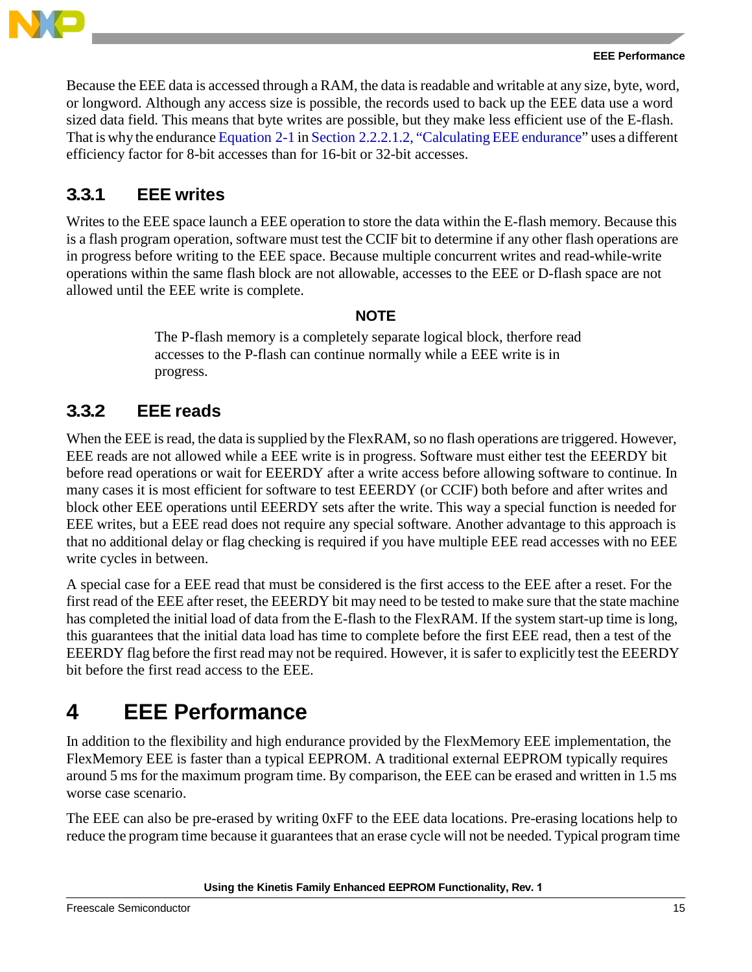

Because the EEE data is accessed through a RAM, the data isreadable and writable at any size, byte, word, or longword. Although any access size is possible, the records used to back up the EEE data use a word sized data field. This means that byte writes are possible, but they make less efficient use of the E-flash. That is why the endurance [Equation 2-1](#page-5-0) in [Section 2.2.2.1.2, "Calculating](#page-5-1) EEE endurance" uses a different efficiency factor for 8-bit accesses than for 16-bit or 32-bit accesses.

## **3.3.1 EEE writes**

Writes to the EEE space launch a EEE operation to store the data within the E-flash memory. Because this is a flash program operation, software must test the CCIF bit to determine if any other flash operations are in progress before writing to the EEE space. Because multiple concurrent writes and read-while-write operations within the same flash block are not allowable, accesses to the EEE or D-flash space are not allowed until the EEE write is complete.

## **NOTE**

The P-flash memory is a completely separate logical block, therfore read accesses to the P-flash can continue normally while a EEE write is in progress.

## **3.3.2 EEE reads**

When the EEE is read, the data is supplied by the FlexRAM, so no flash operations are triggered. However, EEE reads are not allowed while a EEE write is in progress. Software must either test the EEERDY bit before read operations or wait for EEERDY after a write access before allowing software to continue. In many cases it is most efficient for software to test EEERDY (or CCIF) both before and after writes and block other EEE operations until EEERDY sets after the write. This way a special function is needed for EEE writes, but a EEE read does not require any special software. Another advantage to this approach is that no additional delay or flag checking is required if you have multiple EEE read accesses with no EEE write cycles in between.

A special case for a EEE read that must be considered is the first access to the EEE after a reset. For the first read of the EEE after reset, the EEERDY bit may need to be tested to make sure that the state machine has completed the initial load of data from the E-flash to the FlexRAM. If the system start-up time is long, this guarantees that the initial data load has time to complete before the first EEE read, then a test of the EEERDY flag before the first read may not be required. However, it issafer to explicitly test the EEERDY bit before the first read access to the EEE.

# <span id="page-14-0"></span>**4 EEE Performance**

In addition to the flexibility and high endurance provided by the FlexMemory EEE implementation, the FlexMemory EEE is faster than a typical EEPROM. A traditional external EEPROM typically requires around 5 ms for the maximum program time. By comparison, the EEE can be erased and written in 1.5 ms worse case scenario.

The EEE can also be pre-erased by writing 0xFF to the EEE data locations. Pre-erasing locations help to reduce the program time because it guarantees that an erase cycle will not be needed. Typical program time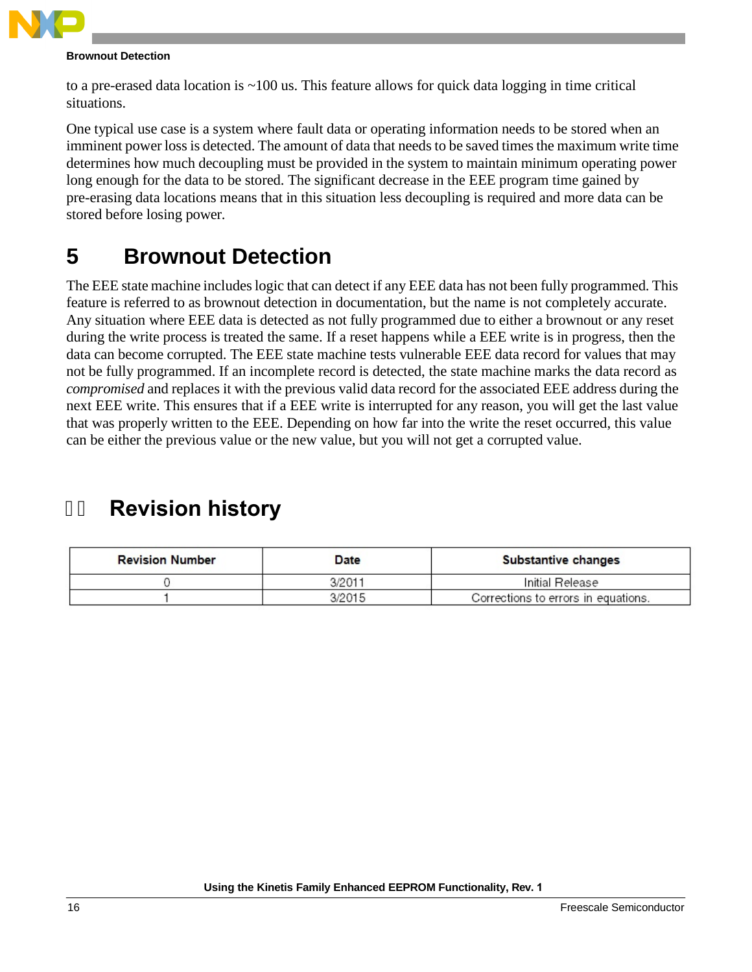

### **Brownout Detection**

to a pre-erased data location is  $\sim$ 100 us. This feature allows for quick data logging in time critical situations.

One typical use case is a system where fault data or operating information needs to be stored when an imminent power loss is detected. The amount of data that needs to be saved times the maximum write time determines how much decoupling must be provided in the system to maintain minimum operating power long enough for the data to be stored. The significant decrease in the EEE program time gained by pre-erasing data locations means that in this situation less decoupling is required and more data can be stored before losing power.

# <span id="page-15-0"></span>**5 Brownout Detection**

The EEE state machine includeslogic that can detect if any EEE data has not been fully programmed. This feature is referred to as brownout detection in documentation, but the name is not completely accurate. Any situation where EEE data is detected as not fully programmed due to either a brownout or any reset during the write process is treated the same. If a reset happens while a EEE write is in progress, then the data can become corrupted. The EEE state machine tests vulnerable EEE data record for values that may not be fully programmed. If an incomplete record is detected, the state machine marks the data record as *compromised* and replaces it with the previous valid data record for the associated EEE address during the next EEE write. This ensures that if a EEE write is interrupted for any reason, you will get the last value that was properly written to the EEE. Depending on how far into the write the reset occurred, this value can be either the previous value or the new value, but you will not get a corrupted value.

# **Revision history**

| <b>Revision Number</b> | Date   | <b>Substantive changes</b>          |
|------------------------|--------|-------------------------------------|
|                        | 3/2011 | Initial Release                     |
|                        | 3/2015 | Corrections to errors in equations. |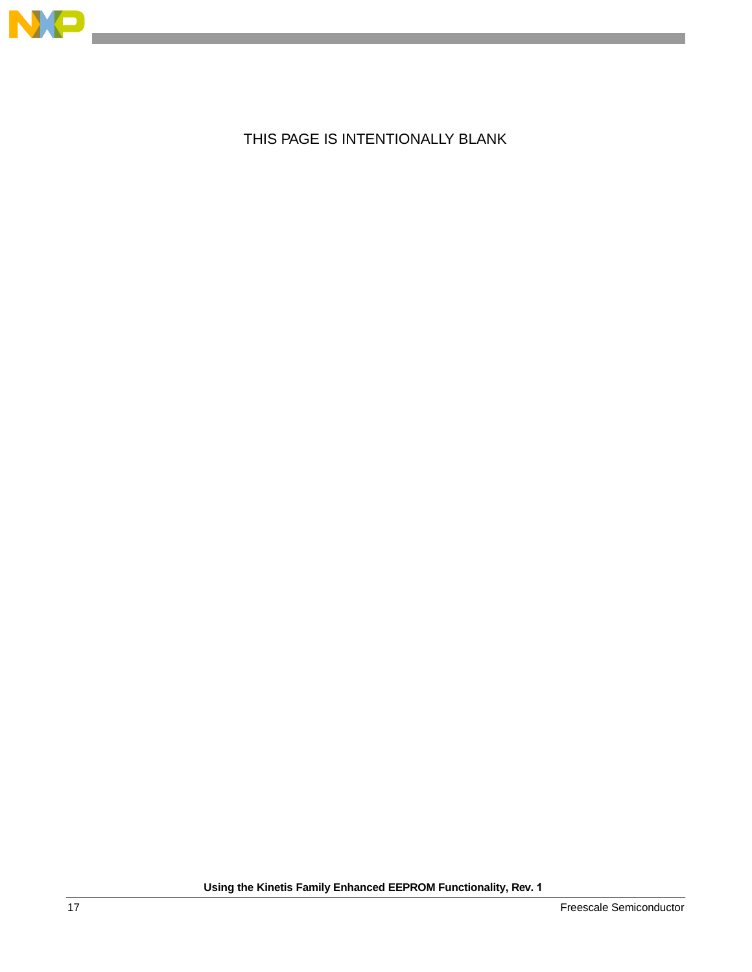

 $\overline{\phantom{a}}$ 

THIS PAGE IS INTENTIONALLY BLANK